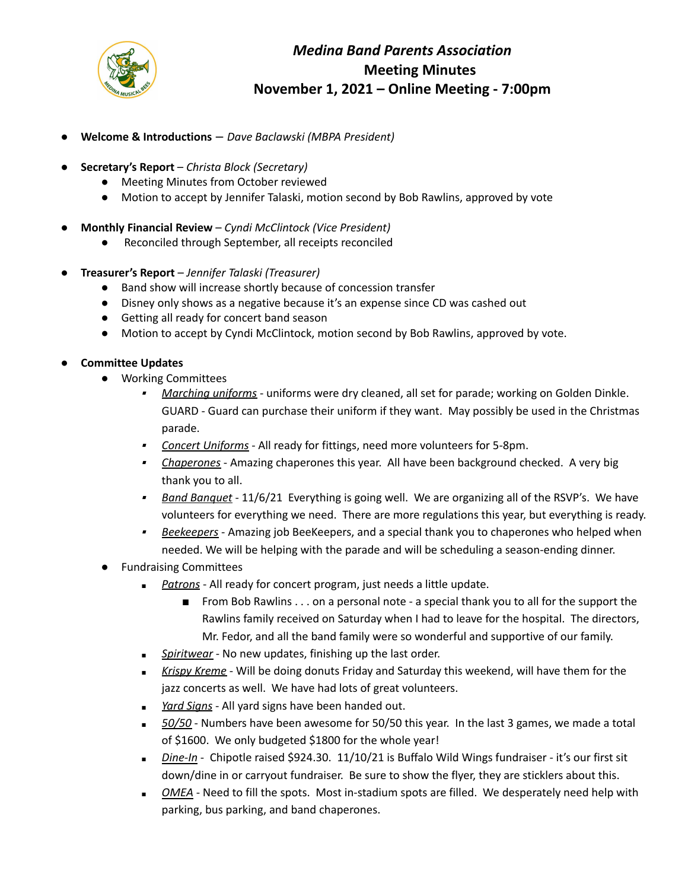

## *Medina Band Parents Association* **Meeting Minutes November 1, 2021 – Online Meeting - 7:00pm**

- **Welcome & Introductions** *Dave Baclawski (MBPA President)*
- **Secretary's Report** *Christa Block (Secretary)*
	- Meeting Minutes from October reviewed
	- Motion to accept by Jennifer Talaski, motion second by Bob Rawlins, approved by vote
- **Monthly Financial Review** *Cyndi McClintock (Vice President)*
	- Reconciled through September, all receipts reconciled
- **Treasurer's Report** *Jennifer Talaski (Treasurer)*
	- Band show will increase shortly because of concession transfer
	- Disney only shows as a negative because it's an expense since CD was cashed out
	- Getting all ready for concert band season
	- Motion to accept by Cyndi McClintock, motion second by Bob Rawlins, approved by vote.

## ● **Committee Updates**

- Working Committees
	- *Marching uniforms* uniforms were dry cleaned, all set for parade; working on Golden Dinkle. GUARD - Guard can purchase their uniform if they want. May possibly be used in the Christmas parade.
	- *Concert Uniforms* All ready for fittings, need more volunteers for 5-8pm.
	- ▪ *Chaperones* - Amazing chaperones this year. All have been background checked. A very big thank you to all.
	- *Band Banquet* 11/6/21 Everything is going well. We are organizing all of the RSVP's. We have volunteers for everything we need. There are more regulations this year, but everything is ready.
	- ▪ *Beekeepers* - Amazing job BeeKeepers, and a special thank you to chaperones who helped when needed. We will be helping with the parade and will be scheduling a season-ending dinner.
- **Fundraising Committees** 
	- *■ Patrons* All ready for concert program, just needs a little update.
		- From Bob Rawlins . . . on a personal note a special thank you to all for the support the Rawlins family received on Saturday when I had to leave for the hospital. The directors, Mr. Fedor, and all the band family were so wonderful and supportive of our family.
	- *■ Spiritwear* No new updates, finishing up the last order.
	- *■ Krispy Kreme* Will be doing donuts Friday and Saturday this weekend, will have them for the jazz concerts as well. We have had lots of great volunteers.
	- *■ Yard Signs* All yard signs have been handed out.
	- 50/50 Numbers have been awesome for 50/50 this year. In the last 3 games, we made a total of \$1600. We only budgeted \$1800 for the whole year!
	- *■ Dine-In* Chipotle raised \$924.30. 11/10/21 is Buffalo Wild Wings fundraiser it's our first sit down/dine in or carryout fundraiser. Be sure to show the flyer, they are sticklers about this.
	- *OMEA* Need to fill the spots. Most in-stadium spots are filled. We desperately need help with parking, bus parking, and band chaperones.